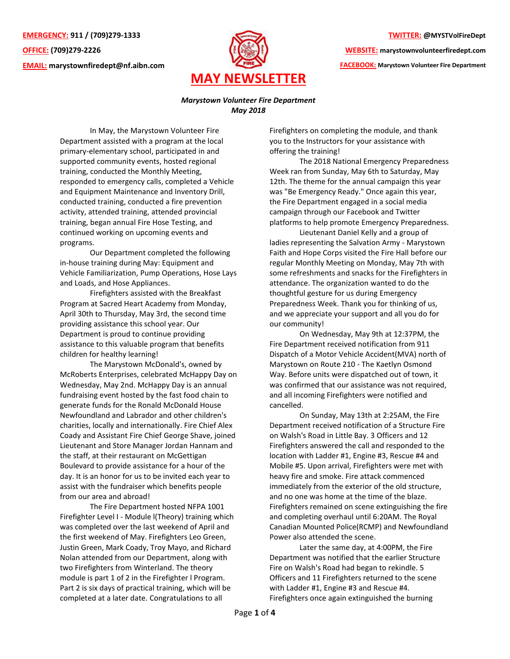**EMERGENCY: 911 / (709)279-1333 OFFICE: (709)279-2226 EMAIL: [marystownfiredept@nf.aibn.com](mailto:marystownfiredept@nf.aibn.com)**



## **TWITTER: @MYSTVolFireDept**

**WEBSITE: marystownvolunteerfiredept.com** 

**FACEBOOK: Marystown Volunteer Fire Department**

## *Marystown Volunteer Fire Department May 2018*

In May, the Marystown Volunteer Fire Department assisted with a program at the local primary-elementary school, participated in and supported community events, hosted regional training, conducted the Monthly Meeting, responded to emergency calls, completed a Vehicle and Equipment Maintenance and Inventory Drill, conducted training, conducted a fire prevention activity, attended training, attended provincial training, began annual Fire Hose Testing, and continued working on upcoming events and programs.

Our Department completed the following in-house training during May: Equipment and Vehicle Familiarization, Pump Operations, Hose Lays and Loads, and Hose Appliances.

Firefighters assisted with the Breakfast Program at Sacred Heart Academy from Monday, April 30th to Thursday, May 3rd, the second time providing assistance this school year. Our Department is proud to continue providing assistance to this valuable program that benefits children for healthy learning!

The Marystown McDonald's, owned by McRoberts Enterprises, celebrated McHappy Day on Wednesday, May 2nd. McHappy Day is an annual fundraising event hosted by the fast food chain to generate funds for the Ronald McDonald House Newfoundland and Labrador and other children's charities, locally and internationally. Fire Chief Alex Coady and Assistant Fire Chief George Shave, joined Lieutenant and Store Manager Jordan Hannam and the staff, at their restaurant on McGettigan Boulevard to provide assistance for a hour of the day. It is an honor for us to be invited each year to assist with the fundraiser which benefits people from our area and abroad!

The Fire Department hosted NFPA 1001 Firefighter Level I - Module l(Theory) training which was completed over the last weekend of April and the first weekend of May. Firefighters Leo Green, Justin Green, Mark Coady, Troy Mayo, and Richard Nolan attended from our Department, along with two Firefighters from Winterland. The theory module is part 1 of 2 in the Firefighter l Program. Part 2 is six days of practical training, which will be completed at a later date. Congratulations to all

Firefighters on completing the module, and thank you to the Instructors for your assistance with offering the training!

The 2018 National Emergency Preparedness Week ran from Sunday, May 6th to Saturday, May 12th. The theme for the annual campaign this year was "Be Emergency Ready." Once again this year, the Fire Department engaged in a social media campaign through our Facebook and Twitter platforms to help promote Emergency Preparedness.

Lieutenant Daniel Kelly and a group of ladies representing the Salvation Army - Marystown Faith and Hope Corps visited the Fire Hall before our regular Monthly Meeting on Monday, May 7th with some refreshments and snacks for the Firefighters in attendance. The organization wanted to do the thoughtful gesture for us during Emergency Preparedness Week. Thank you for thinking of us, and we appreciate your support and all you do for our community!

On Wednesday, May 9th at 12:37PM, the Fire Department received notification from 911 Dispatch of a Motor Vehicle Accident(MVA) north of Marystown on Route 210 - The Kaetlyn Osmond Way. Before units were dispatched out of town, it was confirmed that our assistance was not required, and all incoming Firefighters were notified and cancelled.

On Sunday, May 13th at 2:25AM, the Fire Department received notification of a Structure Fire on Walsh's Road in Little Bay. 3 Officers and 12 Firefighters answered the call and responded to the location with Ladder #1, Engine #3, Rescue #4 and Mobile #5. Upon arrival, Firefighters were met with heavy fire and smoke. Fire attack commenced immediately from the exterior of the old structure, and no one was home at the time of the blaze. Firefighters remained on scene extinguishing the fire and completing overhaul until 6:20AM. The Royal Canadian Mounted Police(RCMP) and Newfoundland Power also attended the scene.

Later the same day, at 4:00PM, the Fire Department was notified that the earlier Structure Fire on Walsh's Road had began to rekindle. 5 Officers and 11 Firefighters returned to the scene with Ladder #1, Engine #3 and Rescue #4. Firefighters once again extinguished the burning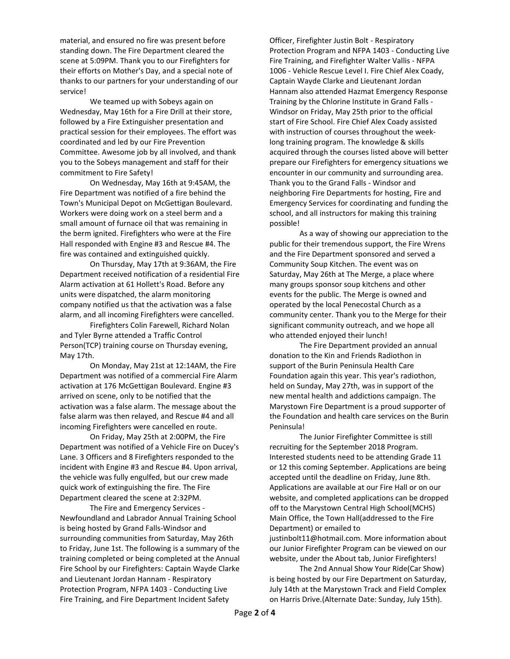material, and ensured no fire was present before standing down. The Fire Department cleared the scene at 5:09PM. Thank you to our Firefighters for their efforts on Mother's Day, and a special note of thanks to our partners for your understanding of our service!

We teamed up with Sobeys again on Wednesday, May 16th for a Fire Drill at their store, followed by a Fire Extinguisher presentation and practical session for their employees. The effort was coordinated and led by our Fire Prevention Committee. Awesome job by all involved, and thank you to the Sobeys management and staff for their commitment to Fire Safety!

On Wednesday, May 16th at 9:45AM, the Fire Department was notified of a fire behind the Town's Municipal Depot on McGettigan Boulevard. Workers were doing work on a steel berm and a small amount of furnace oil that was remaining in the berm ignited. Firefighters who were at the Fire Hall responded with Engine #3 and Rescue #4. The fire was contained and extinguished quickly.

On Thursday, May 17th at 9:36AM, the Fire Department received notification of a residential Fire Alarm activation at 61 Hollett's Road. Before any units were dispatched, the alarm monitoring company notified us that the activation was a false alarm, and all incoming Firefighters were cancelled.

Firefighters Colin Farewell, Richard Nolan and Tyler Byrne attended a Traffic Control Person(TCP) training course on Thursday evening, May 17th.

On Monday, May 21st at 12:14AM, the Fire Department was notified of a commercial Fire Alarm activation at 176 McGettigan Boulevard. Engine #3 arrived on scene, only to be notified that the activation was a false alarm. The message about the false alarm was then relayed, and Rescue #4 and all incoming Firefighters were cancelled en route.

On Friday, May 25th at 2:00PM, the Fire Department was notified of a Vehicle Fire on Ducey's Lane. 3 Officers and 8 Firefighters responded to the incident with Engine #3 and Rescue #4. Upon arrival, the vehicle was fully engulfed, but our crew made quick work of extinguishing the fire. The Fire Department cleared the scene at 2:32PM.

The Fire and Emergency Services - Newfoundland and Labrador Annual Training School is being hosted by Grand Falls-Windsor and surrounding communities from Saturday, May 26th to Friday, June 1st. The following is a summary of the training completed or being completed at the Annual Fire School by our Firefighters: Captain Wayde Clarke and Lieutenant Jordan Hannam - Respiratory Protection Program, NFPA 1403 - Conducting Live Fire Training, and Fire Department Incident Safety

Officer, Firefighter Justin Bolt - Respiratory Protection Program and NFPA 1403 - Conducting Live Fire Training, and Firefighter Walter Vallis - NFPA 1006 - Vehicle Rescue Level I. Fire Chief Alex Coady, Captain Wayde Clarke and Lieutenant Jordan Hannam also attended Hazmat Emergency Response Training by the Chlorine Institute in Grand Falls - Windsor on Friday, May 25th prior to the official start of Fire School. Fire Chief Alex Coady assisted with instruction of courses throughout the weeklong training program. The knowledge & skills acquired through the courses listed above will better prepare our Firefighters for emergency situations we encounter in our community and surrounding area. Thank you to the Grand Falls - Windsor and neighboring Fire Departments for hosting, Fire and Emergency Services for coordinating and funding the school, and all instructors for making this training possible!

As a way of showing our appreciation to the public for their tremendous support, the Fire Wrens and the Fire Department sponsored and served a Community Soup Kitchen. The event was on Saturday, May 26th at The Merge, a place where many groups sponsor soup kitchens and other events for the public. The Merge is owned and operated by the local Penecostal Church as a community center. Thank you to the Merge for their significant community outreach, and we hope all who attended enjoyed their lunch!

The Fire Department provided an annual donation to the Kin and Friends Radiothon in support of the Burin Peninsula Health Care Foundation again this year. This year's radiothon, held on Sunday, May 27th, was in support of the new mental health and addictions campaign. The Marystown Fire Department is a proud supporter of the Foundation and health care services on the Burin Peninsula!

The Junior Firefighter Committee is still recruiting for the September 2018 Program. Interested students need to be attending Grade 11 or 12 this coming September. Applications are being accepted until the deadline on Friday, June 8th. Applications are available at our Fire Hall or on our website, and completed applications can be dropped off to the Marystown Central High School(MCHS) Main Office, the Town Hall(addressed to the Fire Department) or emailed to justinbolt11@hotmail.com. More information about our Junior Firefighter Program can be viewed on our

website, under the About tab, Junior Firefighters! The 2nd Annual Show Your Ride(Car Show) is being hosted by our Fire Department on Saturday, July 14th at the Marystown Track and Field Complex on Harris Drive.(Alternate Date: Sunday, July 15th).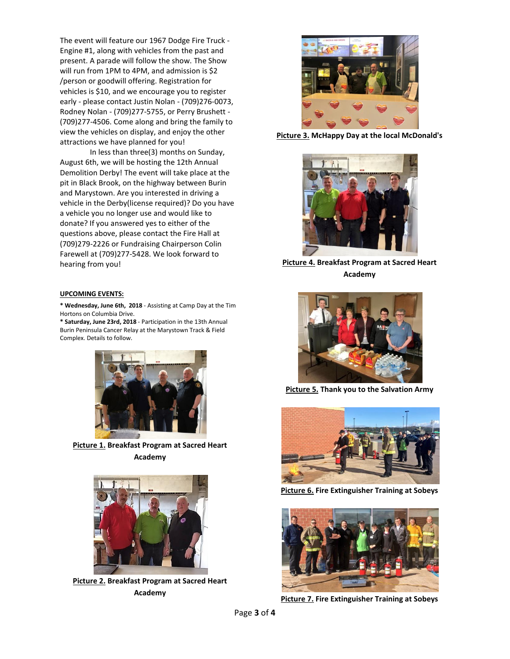The event will feature our 1967 Dodge Fire Truck - Engine #1, along with vehicles from the past and present. A parade will follow the show. The Show will run from 1PM to 4PM, and admission is \$2 /person or goodwill offering. Registration for vehicles is \$10, and we encourage you to register early - please contact Justin Nolan - (709)276-0073, Rodney Nolan - (709)277-5755, or Perry Brushett - (709)277-4506. Come along and bring the family to view the vehicles on display, and enjoy the other attractions we have planned for you!

In less than three(3) months on Sunday, August 6th, we will be hosting the 12th Annual Demolition Derby! The event will take place at the pit in Black Brook, on the highway between Burin and Marystown. Are you interested in driving a vehicle in the Derby(license required)? Do you have a vehicle you no longer use and would like to donate? If you answered yes to either of the questions above, please contact the Fire Hall at (709)279-2226 or Fundraising Chairperson Colin Farewell at (709)277-5428. We look forward to hearing from you!

## **UPCOMING EVENTS:**

**\* Wednesday, June 6th, 2018** - Assisting at Camp Day at the Tim Hortons on Columbia Drive.

**\* Saturday, June 23rd, 2018** - Participation in the 13th Annual Burin Peninsula Cancer Relay at the Marystown Track & Field Complex. Details to follow.



**Picture 1. Breakfast Program at Sacred Heart Academy**



**Picture 2. Breakfast Program at Sacred Heart Academy**



**Picture 3. McHappy Day at the local McDonald's**



**Picture 4. Breakfast Program at Sacred Heart Academy**



**Picture 5. Thank you to the Salvation Army**



**Picture 6. Fire Extinguisher Training at Sobeys**



**Picture 7. Fire Extinguisher Training at Sobeys**